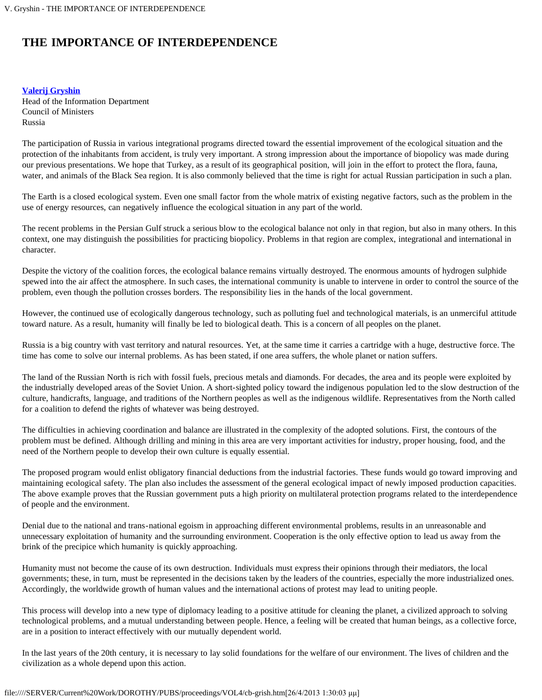## **THE IMPORTANCE OF INTERDEPENDENCE**

## **[Valerij Gryshin](#page-1-0)**

Head of the Information Department Council of Ministers Russia

The participation of Russia in various integrational programs directed toward the essential improvement of the ecological situation and the protection of the inhabitants from accident, is truly very important. A strong impression about the importance of biopolicy was made during our previous presentations. We hope that Turkey, as a result of its geographical position, will join in the effort to protect the flora, fauna, water, and animals of the Black Sea region. It is also commonly believed that the time is right for actual Russian participation in such a plan.

The Earth is a closed ecological system. Even one small factor from the whole matrix of existing negative factors, such as the problem in the use of energy resources, can negatively influence the ecological situation in any part of the world.

The recent problems in the Persian Gulf struck a serious blow to the ecological balance not only in that region, but also in many others. In this context, one may distinguish the possibilities for practicing biopolicy. Problems in that region are complex, integrational and international in character.

Despite the victory of the coalition forces, the ecological balance remains virtually destroyed. The enormous amounts of hydrogen sulphide spewed into the air affect the atmosphere. In such cases, the international community is unable to intervene in order to control the source of the problem, even though the pollution crosses borders. The responsibility lies in the hands of the local government.

However, the continued use of ecologically dangerous technology, such as polluting fuel and technological materials, is an unmerciful attitude toward nature. As a result, humanity will finally be led to biological death. This is a concern of all peoples on the planet.

Russia is a big country with vast territory and natural resources. Yet, at the same time it carries a cartridge with a huge, destructive force. The time has come to solve our internal problems. As has been stated, if one area suffers, the whole planet or nation suffers.

The land of the Russian North is rich with fossil fuels, precious metals and diamonds. For decades, the area and its people were exploited by the industrially developed areas of the Soviet Union. A short-sighted policy toward the indigenous population led to the slow destruction of the culture, handicrafts, language, and traditions of the Northern peoples as well as the indigenous wildlife. Representatives from the North called for a coalition to defend the rights of whatever was being destroyed.

The difficulties in achieving coordination and balance are illustrated in the complexity of the adopted solutions. First, the contours of the problem must be defined. Although drilling and mining in this area are very important activities for industry, proper housing, food, and the need of the Northern people to develop their own culture is equally essential.

The proposed program would enlist obligatory financial deductions from the industrial factories. These funds would go toward improving and maintaining ecological safety. The plan also includes the assessment of the general ecological impact of newly imposed production capacities. The above example proves that the Russian government puts a high priority on multilateral protection programs related to the interdependence of people and the environment.

Denial due to the national and trans-national egoism in approaching different environmental problems, results in an unreasonable and unnecessary exploitation of humanity and the surrounding environment. Cooperation is the only effective option to lead us away from the brink of the precipice which humanity is quickly approaching.

Humanity must not become the cause of its own destruction. Individuals must express their opinions through their mediators, the local governments; these, in turn, must be represented in the decisions taken by the leaders of the countries, especially the more industrialized ones. Accordingly, the worldwide growth of human values and the international actions of protest may lead to uniting people.

This process will develop into a new type of diplomacy leading to a positive attitude for cleaning the planet, a civilized approach to solving technological problems, and a mutual understanding between people. Hence, a feeling will be created that human beings, as a collective force, are in a position to interact effectively with our mutually dependent world.

In the last years of the 20th century, it is necessary to lay solid foundations for the welfare of our environment. The lives of children and the civilization as a whole depend upon this action.